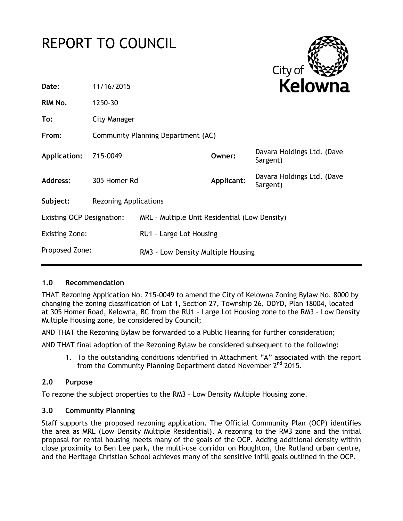# REPORT TO COUNCIL



| Date:                            | 11/16/2015                         |                                               | <b>Kelowna</b> |                                        |
|----------------------------------|------------------------------------|-----------------------------------------------|----------------|----------------------------------------|
| RIM No.                          | 1250-30                            |                                               |                |                                        |
| To:                              | <b>City Manager</b>                |                                               |                |                                        |
| From:                            | Community Planning Department (AC) |                                               |                |                                        |
| Application:                     | Z15-0049                           |                                               | Owner:         | Davara Holdings Ltd. (Dave<br>Sargent) |
| <b>Address:</b>                  | 305 Homer Rd                       |                                               | Applicant:     | Davara Holdings Ltd. (Dave<br>Sargent) |
| Subject:                         | <b>Rezoning Applications</b>       |                                               |                |                                        |
| <b>Existing OCP Designation:</b> |                                    | MRL - Multiple Unit Residential (Low Density) |                |                                        |
| <b>Existing Zone:</b>            |                                    | RU1 - Large Lot Housing                       |                |                                        |
| Proposed Zone:                   |                                    | RM3 - Low Density Multiple Housing            |                |                                        |

# **1.0 Recommendation**

THAT Rezoning Application No. Z15-0049 to amend the City of Kelowna Zoning Bylaw No. 8000 by changing the zoning classification of Lot 1, Section 27, Township 26, ODYD, Plan 18004, located at 305 Homer Road, Kelowna, BC from the RU1 – Large Lot Housing zone to the RM3 – Low Density Multiple Housing zone, be considered by Council;

AND THAT the Rezoning Bylaw be forwarded to a Public Hearing for further consideration;

AND THAT final adoption of the Rezoning Bylaw be considered subsequent to the following:

1. To the outstanding conditions identified in Attachment "A" associated with the report from the Community Planning Department dated November 2<sup>nd</sup> 2015.

# **2.0 Purpose**

To rezone the subject properties to the RM3 – Low Density Multiple Housing zone.

# **3.0 Community Planning**

Staff supports the proposed rezoning application. The Official Community Plan (OCP) identifies the area as MRL (Low Density Multiple Residential). A rezoning to the RM3 zone and the initial proposal for rental housing meets many of the goals of the OCP. Adding additional density within close proximity to Ben Lee park, the multi-use corridor on Houghton, the Rutland urban centre, and the Heritage Christian School achieves many of the sensitive infill goals outlined in the OCP.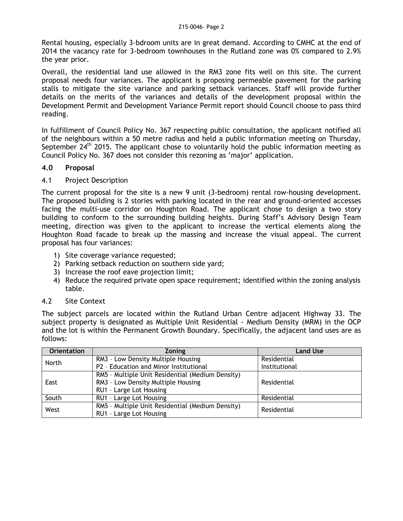Rental housing, especially 3-bdroom units are in great demand. According to CMHC at the end of 2014 the vacancy rate for 3-bedroom townhouses in the Rutland zone was 0% compared to 2.9% the year prior.

Overall, the residential land use allowed in the RM3 zone fits well on this site. The current proposal needs four variances. The applicant is proposing permeable pavement for the parking stalls to mitigate the site variance and parking setback variances. Staff will provide further details on the merits of the variances and details of the development proposal within the Development Permit and Development Variance Permit report should Council choose to pass third reading.

In fulfillment of Council Policy No. 367 respecting public consultation, the applicant notified all of the neighbours within a 50 metre radius and held a public information meeting on Thursday, September  $24<sup>th</sup>$  2015. The applicant chose to voluntarily hold the public information meeting as Council Policy No. 367 does not consider this rezoning as 'major' application.

# **4.0 Proposal**

## 4.1 Project Description

The current proposal for the site is a new 9 unit (3-bedroom) rental row-housing development. The proposed building is 2 stories with parking located in the rear and ground-oriented accesses facing the multi-use corridor on Houghton Road. The applicant chose to design a two story building to conform to the surrounding building heights. During Staff's Advisory Design Team meeting, direction was given to the applicant to increase the vertical elements along the Houghton Road facade to break up the massing and increase the visual appeal. The current proposal has four variances:

- 1) Site coverage variance requested;
- 2) Parking setback reduction on southern side yard;
- 3) Increase the roof eave projection limit;
- 4) Reduce the required private open space requirement; identified within the zoning analysis table.

#### 4.2 Site Context

The subject parcels are located within the Rutland Urban Centre adjacent Highway 33. The subject property is designated as Multiple Unit Residential - Medium Density (MRM) in the OCP and the lot is within the Permanent Growth Boundary. Specifically, the adjacent land uses are as follows:

| <b>Orientation</b> | <b>Zoning</b>                                                                              | <b>Land Use</b> |
|--------------------|--------------------------------------------------------------------------------------------|-----------------|
| North              | RM3 - Low Density Multiple Housing                                                         | Residential     |
|                    | P2 - Education and Minor Institutional                                                     | Institutional   |
|                    | RM5 - Multiple Unit Residential (Medium Density)                                           |                 |
| East               | RM3 - Low Density Multiple Housing                                                         | Residential     |
|                    | RU1 - Large Lot Housing                                                                    |                 |
| South              | RU1 - Large Lot Housing                                                                    | Residential     |
| West               | RM5 - Multiple Unit Residential (Medium Density)<br>Residential<br>RU1 - Large Lot Housing |                 |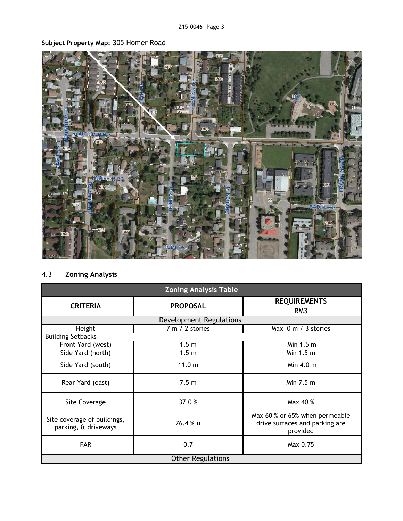# **Subject Property Map:** 305 Homer Road

# 4.3 **Zoning Analysis**

| <b>Zoning Analysis Table</b>                        |                  |                                                                              |  |
|-----------------------------------------------------|------------------|------------------------------------------------------------------------------|--|
| <b>CRITERIA</b>                                     | <b>PROPOSAL</b>  | <b>REQUIREMENTS</b>                                                          |  |
|                                                     |                  | RM <sub>3</sub>                                                              |  |
| Development Regulations                             |                  |                                                                              |  |
| Height                                              | 7 m / 2 stories  | Max 0 m / 3 stories                                                          |  |
| <b>Building Setbacks</b>                            |                  |                                                                              |  |
| Front Yard (west)                                   | 1.5 <sub>m</sub> | Min 1.5 m                                                                    |  |
| Side Yard (north)                                   | 1.5 <sub>m</sub> | Min 1.5 m                                                                    |  |
| Side Yard (south)                                   | 11.0 m           | Min $4.0 \text{ m}$                                                          |  |
| Rear Yard (east)                                    | 7.5 <sub>m</sub> | Min 7.5 m                                                                    |  |
| Site Coverage                                       | 37.0%            | Max 40 %                                                                     |  |
| Site coverage of buildings,<br>parking, & driveways | $76.4%$ 0        | Max 60 % or 65% when permeable<br>drive surfaces and parking are<br>provided |  |
| <b>FAR</b>                                          | 0.7              | Max 0.75                                                                     |  |
| <b>Other Regulations</b>                            |                  |                                                                              |  |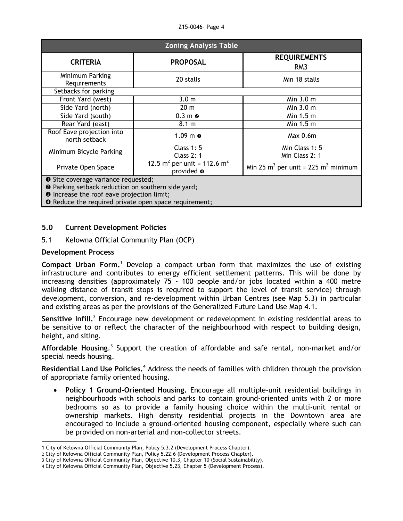#### Z15-0046– Page 4

| <b>Zoning Analysis Table</b>                                                                                                                                     |                                                 |                                           |  |
|------------------------------------------------------------------------------------------------------------------------------------------------------------------|-------------------------------------------------|-------------------------------------------|--|
| <b>CRITERIA</b>                                                                                                                                                  | <b>PROPOSAL</b>                                 | <b>REQUIREMENTS</b>                       |  |
|                                                                                                                                                                  |                                                 | RM <sub>3</sub>                           |  |
| Minimum Parking<br>Requirements                                                                                                                                  | 20 stalls                                       | Min 18 stalls                             |  |
| Setbacks for parking                                                                                                                                             |                                                 |                                           |  |
| Front Yard (west)                                                                                                                                                | 3.0 <sub>m</sub>                                | Min 3.0 m                                 |  |
| Side Yard (north)                                                                                                                                                | 20 <sub>m</sub>                                 | Min $3.0m$                                |  |
| Side Yard (south)                                                                                                                                                | $0.3 m$ <sup><math>\odot</math></sup>           | Min 1.5 m                                 |  |
| Rear Yard (east)                                                                                                                                                 | 8.1 m                                           | Min 1.5 m                                 |  |
| Roof Eave projection into<br>north setback                                                                                                                       | $1.09$ m $\odot$                                | Max 0.6m                                  |  |
| Minimum Bicycle Parking                                                                                                                                          | <b>Class 1: 5</b>                               | Min Class 1: 5                            |  |
|                                                                                                                                                                  | <b>Class 2: 1</b>                               | Min Class 2: 1                            |  |
| Private Open Space                                                                                                                                               | 12.5 $m^2$ per unit = 112.6 $m^2$<br>provided @ | Min 25 $m^2$ per unit = 225 $m^2$ minimum |  |
| <b>O</b> Site coverage variance requested;<br><sup>2</sup> Parking setback reduction on southern side yard;<br><b>O</b> Increase the roof eave projection limit; |                                                 |                                           |  |

**O** Reduce the required private open space requirement;

## **5.0 Current Development Policies**

5.1 Kelowna Official Community Plan (OCP)

#### **Development Process**

**Compact Urban Form.**<sup>1</sup> Develop a compact urban form that maximizes the use of existing infrastructure and contributes to energy efficient settlement patterns. This will be done by increasing densities (approximately 75 - 100 people and/or jobs located within a 400 metre walking distance of transit stops is required to support the level of transit service) through development, conversion, and re-development within Urban Centres (see Map 5.3) in particular and existing areas as per the provisions of the Generalized Future Land Use Map 4.1.

Sensitive Infill.<sup>2</sup> Encourage new development or redevelopment in existing residential areas to be sensitive to or reflect the character of the neighbourhood with respect to building design, height, and siting.

Affordable Housing.<sup>3</sup> Support the creation of affordable and safe rental, non-market and/or special needs housing.

Residential Land Use Policies.<sup>4</sup> Address the needs of families with children through the provision of appropriate family oriented housing.

 **Policy 1 Ground-Oriented Housing.** Encourage all multiple-unit residential buildings in neighbourhoods with schools and parks to contain ground-oriented units with 2 or more bedrooms so as to provide a family housing choice within the multi-unit rental or ownership markets. High density residential projects in the Downtown area are encouraged to include a ground-oriented housing component, especially where such can be provided on non-arterial and non-collector streets.

<sup>1</sup> 1 City of Kelowna Official Community Plan, Policy 5.3.2 (Development Process Chapter).

<sup>2</sup> City of Kelowna Official Community Plan, Policy 5.22.6 (Development Process Chapter).

<sup>3</sup> City of Kelowna Official Community Plan, Objective 10.3, Chapter 10 (Social Sustainability).

<sup>4</sup> City of Kelowna Official Community Plan, Objective 5.23, Chapter 5 (Development Process).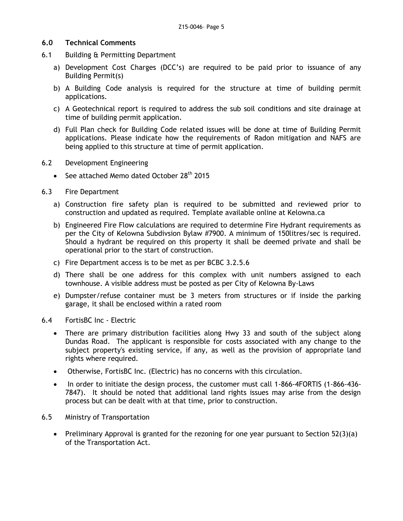## **6.0 Technical Comments**

- 6.1 Building & Permitting Department
	- a) Development Cost Charges (DCC's) are required to be paid prior to issuance of any Building Permit(s)
	- b) A Building Code analysis is required for the structure at time of building permit applications.
	- c) A Geotechnical report is required to address the sub soil conditions and site drainage at time of building permit application.
	- d) Full Plan check for Building Code related issues will be done at time of Building Permit applications. Please indicate how the requirements of Radon mitigation and NAFS are being applied to this structure at time of permit application.
- 6.2 Development Engineering
	- See attached Memo dated October 28<sup>th</sup> 2015
- 6.3 Fire Department
	- a) Construction fire safety plan is required to be submitted and reviewed prior to construction and updated as required. Template available online at Kelowna.ca
	- b) Engineered Fire Flow calculations are required to determine Fire Hydrant requirements as per the City of Kelowna Subdivsion Bylaw #7900. A minimum of 150litres/sec is required. Should a hydrant be required on this property it shall be deemed private and shall be operational prior to the start of construction.
	- c) Fire Department access is to be met as per BCBC 3.2.5.6
	- d) There shall be one address for this complex with unit numbers assigned to each townhouse. A visible address must be posted as per City of Kelowna By-Laws
	- e) Dumpster/refuse container must be 3 meters from structures or if inside the parking garage, it shall be enclosed within a rated room
- 6.4 FortisBC Inc Electric
	- There are primary distribution facilities along Hwy 33 and south of the subject along Dundas Road. The applicant is responsible for costs associated with any change to the subject property's existing service, if any, as well as the provision of appropriate land rights where required.
	- Otherwise, FortisBC Inc. (Electric) has no concerns with this circulation.
	- In order to initiate the design process, the customer must call 1-866-4FORTIS (1-866-436-7847). It should be noted that additional land rights issues may arise from the design process but can be dealt with at that time, prior to construction.
- 6.5 Ministry of Transportation
	- Preliminary Approval is granted for the rezoning for one year pursuant to Section  $52(3)(a)$ of the Transportation Act.